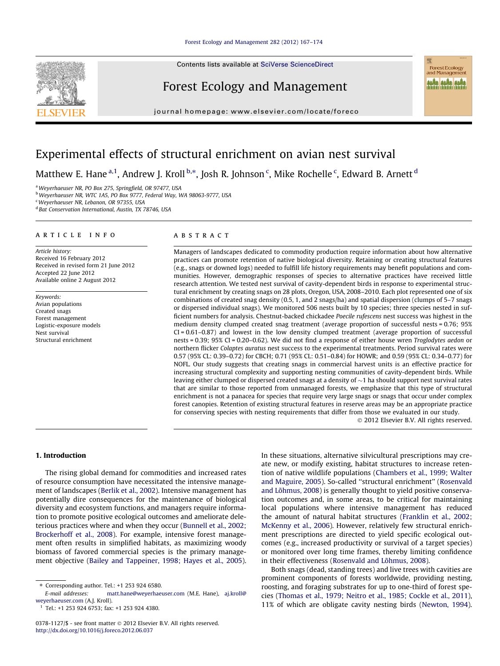Contents lists available at [SciVerse ScienceDirect](http://www.sciencedirect.com/science/journal/03781127)

# Forest Ecology and Management

journal homepage: [www.elsevier.com/locate/foreco](http://www.elsevier.com/locate/foreco)

# Experimental effects of structural enrichment on avian nest survival

Matthew E. Hane <sup>a, 1</sup>, Andrew J. Kroll <sup>b,</sup>\*, Josh R. Johnson <sup>c</sup>, Mike Rochelle <sup>c</sup>, Edward B. Arnett <sup>d</sup>

<sup>a</sup>Weyerhaeuser NR, PO Box 275, Springfield, OR 97477, USA

b Weyerhaeuser NR, WTC 1A5, PO Box 9777, Federal Way, WA 98063-9777, USA

<sup>c</sup>Weyerhaeuser NR, Lebanon, OR 97355, USA

<sup>d</sup> Bat Conservation International, Austin, TX 78746, USA

# article info

Article history: Received 16 February 2012 Received in revised form 21 June 2012 Accepted 22 June 2012 Available online 2 August 2012

Keywords: Avian populations Created snags Forest management Logistic-exposure models Nest survival Structural enrichment

#### **ABSTRACT**

Managers of landscapes dedicated to commodity production require information about how alternative practices can promote retention of native biological diversity. Retaining or creating structural features (e.g., snags or downed logs) needed to fulfill life history requirements may benefit populations and communities. However, demographic responses of species to alternative practices have received little research attention. We tested nest survival of cavity-dependent birds in response to experimental structural enrichment by creating snags on 28 plots, Oregon, USA, 2008–2010. Each plot represented one of six combinations of created snag density (0.5, 1, and 2 snags/ha) and spatial dispersion (clumps of 5–7 snags or dispersed individual snags). We monitored 506 nests built by 10 species; three species nested in sufficient numbers for analysis. Chestnut-backed chickadee Poecile rufescens nest success was highest in the medium density clumped created snag treatment (average proportion of successful nests = 0.76; 95%  $CI = 0.61 - 0.87$ ) and lowest in the low density clumped treatment (average proportion of successful nests = 0.39; 95% CI = 0.20–0.62). We did not find a response of either house wren Troglodytes aedon or northern flicker Colaptes auratus nest success to the experimental treatments. Period survival rates were 0.57 (95% CL: 0.39–0.72) for CBCH; 0.71 (95% CL: 0.51–0.84) for HOWR; and 0.59 (95% CL: 0.34–0.77) for NOFL. Our study suggests that creating snags in commercial harvest units is an effective practice for increasing structural complexity and supporting nesting communities of cavity-dependent birds. While leaving either clumped or dispersed created snags at a density of  ${\sim}1$  ha should support nest survival rates that are similar to those reported from unmanaged forests, we emphasize that this type of structural enrichment is not a panacea for species that require very large snags or snags that occur under complex forest canopies. Retention of existing structural features in reserve areas may be an appropriate practice for conserving species with nesting requirements that differ from those we evaluated in our study.

- 2012 Elsevier B.V. All rights reserved.

Forest Ecology<br>and Management anka anka anka

#### 1. Introduction

The rising global demand for commodities and increased rates of resource consumption have necessitated the intensive management of landscapes [\(Berlik et al., 2002](#page-6-0)). Intensive management has potentially dire consequences for the maintenance of biological diversity and ecosystem functions, and managers require information to promote positive ecological outcomes and ameliorate deleterious practices where and when they occur [\(Bunnell et al., 2002;](#page-6-0) [Brockerhoff et al., 2008](#page-6-0)). For example, intensive forest management often results in simplified habitats, as maximizing woody biomass of favored commercial species is the primary management objective [\(Bailey and Tappeiner, 1998; Hayes et al., 2005\)](#page-6-0).

 $1$  Tel.: +1 253 924 6753; fax: +1 253 924 4380.

In these situations, alternative silvicultural prescriptions may create new, or modify existing, habitat structures to increase retention of native wildlife populations ([Chambers et al., 1999; Walter](#page-6-0) [and Maguire, 2005\)](#page-6-0). So-called ''structural enrichment'' [\(Rosenvald](#page-7-0) [and Lõhmus, 2008\)](#page-7-0) is generally thought to yield positive conservation outcomes and, in some areas, to be critical for maintaining local populations where intensive management has reduced the amount of natural habitat structures ([Franklin et al., 2002;](#page-6-0) [McKenny et al., 2006\)](#page-6-0). However, relatively few structural enrichment prescriptions are directed to yield specific ecological outcomes (e.g., increased productivity or survival of a target species) or monitored over long time frames, thereby limiting confidence in their effectiveness ([Rosenvald and Lõhmus, 2008\)](#page-7-0).

Both snags (dead, standing trees) and live trees with cavities are prominent components of forests worldwide, providing nesting, roosting, and foraging substrates for up to one-third of forest species ([Thomas et al., 1979; Neitro et al., 1985; Cockle et al., 2011\)](#page-7-0), 11% of which are obligate cavity nesting birds ([Newton, 1994\)](#page-6-0).



<sup>⇑</sup> Corresponding author. Tel.: +1 253 924 6580.

[matt.hane@weyerhaeuser.com](mailto:      matt.hane@weyerhaeuser.com) (M.E. Hane), [aj.kroll@](mailto:     aj.kroll@ weyerhaeuser.com) [weyerhaeuser.com](mailto:     aj.kroll@ weyerhaeuser.com) (A.J. Kroll).

<sup>0378-1127/\$ -</sup> see front matter © 2012 Elsevier B.V. All rights reserved. <http://dx.doi.org/10.1016/j.foreco.2012.06.037>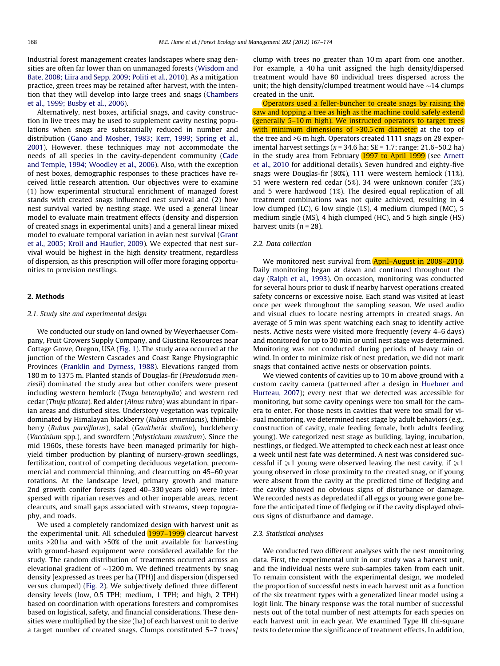Industrial forest management creates landscapes where snag densities are often far lower than on unmanaged forests ([Wisdom and](#page-7-0) [Bate, 2008; Liira and Sepp, 2009; Politi et al., 2010](#page-7-0)). As a mitigation practice, green trees may be retained after harvest, with the intention that they will develop into large trees and snags [\(Chambers](#page-6-0) [et al., 1999; Busby et al., 2006](#page-6-0)).

Alternatively, nest boxes, artificial snags, and cavity construction in live trees may be used to supplement cavity nesting populations when snags are substantially reduced in number and distribution [\(Gano and Mosher, 1983; Kerr, 1999; Spring et al.,](#page-6-0) [2001\)](#page-6-0). However, these techniques may not accommodate the needs of all species in the cavity-dependent community [\(Cade](#page-6-0) [and Temple, 1994; Woodley et al., 2006](#page-6-0)). Also, with the exception of nest boxes, demographic responses to these practices have received little research attention. Our objectives were to examine (1) how experimental structural enrichment of managed forest stands with created snags influenced nest survival and (2) how nest survival varied by nesting stage. We used a general linear model to evaluate main treatment effects (density and dispersion of created snags in experimental units) and a general linear mixed model to evaluate temporal variation in avian nest survival [\(Grant](#page-6-0) [et al., 2005; Kroll and Haufler, 2009\)](#page-6-0). We expected that nest survival would be highest in the high density treatment, regardless of dispersion, as this prescription will offer more foraging opportunities to provision nestlings.

## 2. Methods

#### 2.1. Study site and experimental design

We conducted our study on land owned by Weyerhaeuser Company, Fruit Growers Supply Company, and Giustina Resources near Cottage Grove, Oregon, USA [\(Fig. 1](#page-2-0)). The study area occurred at the junction of the Western Cascades and Coast Range Physiographic Provinces ([Franklin and Dyrness, 1988\)](#page-6-0). Elevations ranged from 180 m to 1375 m. Planted stands of Douglas-fir (Pseudotsuda menziesii) dominated the study area but other conifers were present including western hemlock (Tsuga heterophylla) and western red cedar (Thuja plicata). Red alder (Alnus rubra) was abundant in riparian areas and disturbed sites. Understory vegetation was typically dominated by Himalayan blackberry (Rubus armeniacus), thimbleberry (Rubus parviflorus), salal (Gaultheria shallon), huckleberry (Vaccinium spp.), and swordfern (Polystichum munitum). Since the mid 1960s, these forests have been managed primarily for highyield timber production by planting of nursery-grown seedlings, fertilization, control of competing deciduous vegetation, precommercial and commercial thinning, and clearcutting on 45–60 year rotations. At the landscape level, primary growth and mature 2nd growth conifer forests (aged 40–330 years old) were interspersed with riparian reserves and other inoperable areas, recent clearcuts, and small gaps associated with streams, steep topography, and roads.

We used a completely randomized design with harvest unit as the experimental unit. All scheduled 1997-1999 clearcut harvest units >20 ha and with >50% of the unit available for harvesting with ground-based equipment were considered available for the study. The random distribution of treatments occurred across an elevational gradient of  ${\sim}$ 1200 m. We defined treatments by snag density [expressed as trees per ha (TPH)] and dispersion (dispersed versus clumped) ([Fig. 2\)](#page-3-0). We subjectively defined three different density levels (low, 0.5 TPH; medium, 1 TPH; and high, 2 TPH) based on coordination with operations foresters and compromises based on logistical, safety, and financial considerations. These densities were multiplied by the size (ha) of each harvest unit to derive a target number of created snags. Clumps constituted 5–7 trees/

clump with trees no greater than 10 m apart from one another. For example, a 40 ha unit assigned the high density/dispersed treatment would have 80 individual trees dispersed across the unit; the high density/clumped treatment would have  $\sim$ 14 clumps created in the unit.

Operators used a feller-buncher to create snags by raising the saw and topping a tree as high as the machine could safely extend (generally 5–10 m high). We instructed operators to target trees with minimum dimensions of >30.5 cm diameter at the top of the tree and >6 m high. Operators created 1111 snags on 28 experimental harvest settings ( $\bar{x}$  = 34.6 ha; SE = 1.7; range: 21.6–50.2 ha) in the study area from February (1997 to April 1999) (see [Arnett](#page-6-0) [et al., 2010](#page-6-0) for additional details). Seven hundred and eighty-five snags were Douglas-fir (80%), 111 were western hemlock (11%), 51 were western red cedar (5%), 34 were unknown conifer (3%) and 5 were hardwood (1%). The desired equal replication of all treatment combinations was not quite achieved, resulting in 4 low clumped (LC), 6 low single (LS), 4 medium clumped (MC), 5 medium single (MS), 4 high clumped (HC), and 5 high single (HS) harvest units  $(n = 28)$ .

# 2.2. Data collection

We monitored nest survival from April–August in 2008–2010. Daily monitoring began at dawn and continued throughout the day ([Ralph et al., 1993\)](#page-7-0). On occasion, monitoring was conducted for several hours prior to dusk if nearby harvest operations created safety concerns or excessive noise. Each stand was visited at least once per week throughout the sampling season. We used audio and visual clues to locate nesting attempts in created snags. An average of 5 min was spent watching each snag to identify active nests. Active nests were visited more frequently (every 4–6 days) and monitored for up to 30 min or until nest stage was determined. Monitoring was not conducted during periods of heavy rain or wind. In order to minimize risk of nest predation, we did not mark snags that contained active nests or observation points.

We viewed contents of cavities up to 10 m above ground with a custom cavity camera (patterned after a design in [Huebner and](#page-6-0) [Hurteau, 2007](#page-6-0)); every nest that we detected was accessible for monitoring, but some cavity openings were too small for the camera to enter. For those nests in cavities that were too small for visual monitoring, we determined nest stage by adult behaviors (e.g., construction of cavity, male feeding female, both adults feeding young). We categorized nest stage as building, laying, incubation, nestlings, or fledged. We attempted to check each nest at least once a week until nest fate was determined. A nest was considered successful if  $\geq 1$  young were observed leaving the nest cavity, if  $\geq 1$ young observed in close proximity to the created snag, or if young were absent from the cavity at the predicted time of fledging and the cavity showed no obvious signs of disturbance or damage. We recorded nests as depredated if all eggs or young were gone before the anticipated time of fledging or if the cavity displayed obvious signs of disturbance and damage.

#### 2.3. Statistical analyses

We conducted two different analyses with the nest monitoring data. First, the experimental unit in our study was a harvest unit, and the individual nests were sub-samples taken from each unit. To remain consistent with the experimental design, we modeled the proportion of successful nests in each harvest unit as a function of the six treatment types with a generalized linear model using a logit link. The binary response was the total number of successful nests out of the total number of nest attempts for each species on each harvest unit in each year. We examined Type III chi-square tests to determine the significance of treatment effects. In addition,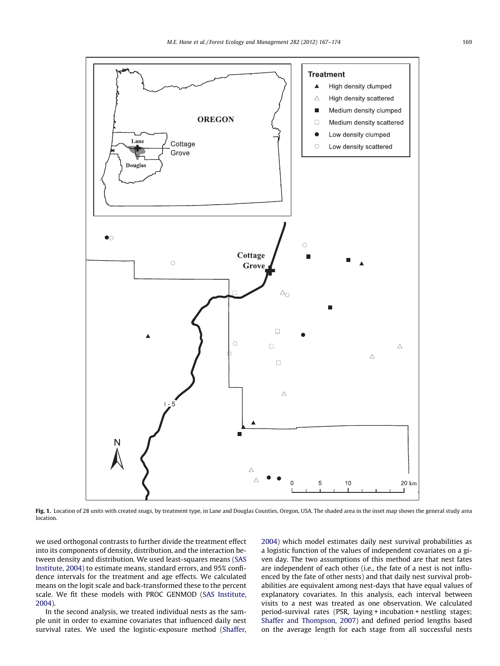<span id="page-2-0"></span>

Fig. 1. Location of 28 units with created snags, by treatment type, in Lane and Douglas Counties, Oregon, USA. The shaded area in the inset map shows the general study area location.

we used orthogonal contrasts to further divide the treatment effect into its components of density, distribution, and the interaction between density and distribution. We used least-squares means ([SAS](#page-7-0) [Institute, 2004\)](#page-7-0) to estimate means, standard errors, and 95% confidence intervals for the treatment and age effects. We calculated means on the logit scale and back-transformed these to the percent scale. We fit these models with PROC GENMOD ([SAS Institute,](#page-7-0) [2004](#page-7-0)).

In the second analysis, we treated individual nests as the sample unit in order to examine covariates that influenced daily nest survival rates. We used the logistic-exposure method [\(Shaffer,](#page-7-0) [2004](#page-7-0)) which model estimates daily nest survival probabilities as a logistic function of the values of independent covariates on a given day. The two assumptions of this method are that nest fates are independent of each other (i.e., the fate of a nest is not influenced by the fate of other nests) and that daily nest survival probabilities are equivalent among nest-days that have equal values of explanatory covariates. In this analysis, each interval between visits to a nest was treated as one observation. We calculated period-survival rates (PSR, laying + incubation + nestling stages; [Shaffer and Thompson, 2007](#page-7-0)) and defined period lengths based on the average length for each stage from all successful nests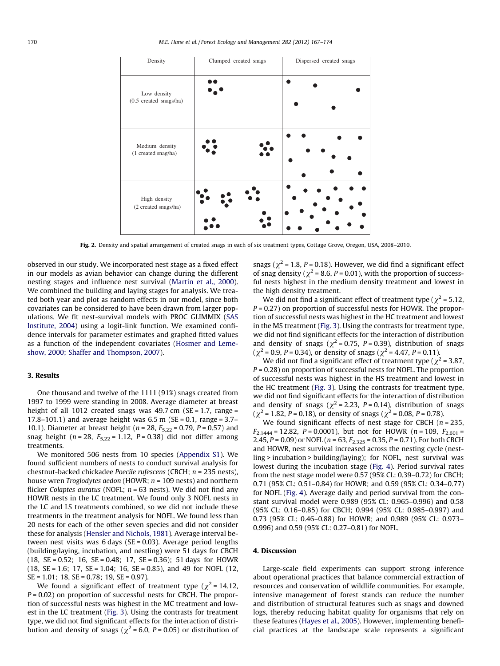<span id="page-3-0"></span>

Fig. 2. Density and spatial arrangement of created snags in each of six treatment types, Cottage Grove, Oregon, USA, 2008–2010.

observed in our study. We incorporated nest stage as a fixed effect in our models as avian behavior can change during the different nesting stages and influence nest survival ([Martin et al., 2000\)](#page-6-0). We combined the building and laying stages for analysis. We treated both year and plot as random effects in our model, since both covariates can be considered to have been drawn from larger populations. We fit nest-survival models with PROC GLIMMIX ([SAS](#page-7-0) [Institute, 2004](#page-7-0)) using a logit-link function. We examined confidence intervals for parameter estimates and graphed fitted values as a function of the independent covariates ([Hosmer and Leme](#page-6-0)[show, 2000; Shaffer and Thompson, 2007\)](#page-6-0).

#### 3. Results

One thousand and twelve of the 1111 (91%) snags created from 1997 to 1999 were standing in 2008. Average diameter at breast height of all 1012 created snags was 49.7 cm ( $SE = 1.7$ , range = 17.8–101.1) and average height was  $6.5$  m (SE = 0.1, range = 3.7– 10.1). Diameter at breast height ( $n = 28$ ,  $F_{5,22} = 0.79$ ,  $P = 0.57$ ) and snag height ( $n = 28$ ,  $F_{5,22} = 1.12$ ,  $P = 0.38$ ) did not differ among treatments.

We monitored 506 nests from 10 species (Appendix S1). We found sufficient numbers of nests to conduct survival analysis for chestnut-backed chickadee Poecile rufescens (CBCH; n = 235 nests), house wren *Troglodytes aedon* (HOWR;  $n = 109$  nests) and northern flicker Colaptes auratus (NOFL;  $n = 63$  nests). We did not find any HOWR nests in the LC treatment. We found only 3 NOFL nests in the LC and LS treatments combined, so we did not include these treatments in the treatment analysis for NOFL. We found less than 20 nests for each of the other seven species and did not consider these for analysis ([Hensler and Nichols, 1981\)](#page-6-0). Average interval between nest visits was 6 days (SE = 0.03). Average period lengths (building/laying, incubation, and nestling) were 51 days for CBCH  $(18, \text{SE} = 0.52; 16, \text{SE} = 0.48; 17, \text{SE} = 0.36); 51 \text{ days for HOWR}$  $(18, SE = 1.6; 17, SE = 1.04; 16, SE = 0.85)$ , and 49 for NOFL  $(12,$ SE = 1.01; 18, SE = 0.78; 19, SE = 0.97).

We found a significant effect of treatment type ( $\chi^2$  = 14.12,  $P = 0.02$ ) on proportion of successful nests for CBCH. The proportion of successful nests was highest in the MC treatment and lowest in the LC treatment [\(Fig. 3](#page-4-0)). Using the contrasts for treatment type, we did not find significant effects for the interaction of distribution and density of snags ( $\chi^2$  = 6.0, P = 0.05) or distribution of snags ( $\chi^2$  = 1.8, P = 0.18). However, we did find a significant effect of snag density ( $\chi^2$  = 8.6, P = 0.01), with the proportion of successful nests highest in the medium density treatment and lowest in the high density treatment.

We did not find a significant effect of treatment type ( $\gamma^2$  = 5.12,  $P = 0.27$ ) on proportion of successful nests for HOWR. The proportion of successful nests was highest in the HC treatment and lowest in the MS treatment ([Fig. 3](#page-4-0)). Using the contrasts for treatment type, we did not find significant effects for the interaction of distribution and density of snags ( $\chi^2$  = 0.75, P = 0.39), distribution of snags  $(\chi^2 = 0.9, P = 0.34)$ , or density of snags  $(\chi^2 = 4.47, P = 0.11)$ .

We did not find a significant effect of treatment type ( $\chi^2$  = 3.87,  $P = 0.28$ ) on proportion of successful nests for NOFL. The proportion of successful nests was highest in the HS treatment and lowest in the HC treatment ([Fig. 3](#page-4-0)). Using the contrasts for treatment type, we did not find significant effects for the interaction of distribution and density of snags ( $\chi^2$  = 2.23, P = 0.14), distribution of snags ( $\chi^2$  = 1.82, *P* = 0.18), or density of snags ( $\chi^2$  = 0.08, *P* = 0.78).

We found significant effects of nest stage for CBCH ( $n = 235$ ,  $F_{2,1444} = 12.82$ ,  $P = 0.0001$ ), but not for HOWR ( $n = 109$ ,  $F_{2,601} =$ 2.45,  $P = 0.09$ ) or NOFL ( $n = 63$ ,  $F_{2,325} = 0.35$ ,  $P = 0.71$ ). For both CBCH and HOWR, nest survival increased across the nesting cycle (nestling > incubation > building/laying); for NOFL, nest survival was lowest during the incubation stage ([Fig. 4](#page-4-0)). Period survival rates from the nest stage model were 0.57 (95% CL: 0.39–0.72) for CBCH; 0.71 (95% CL: 0.51–0.84) for HOWR; and 0.59 (95% CL: 0.34–0.77) for NOFL [\(Fig. 4\)](#page-4-0). Average daily and period survival from the constant survival model were 0.989 (95% CL: 0.965–0.996) and 0.58 (95% CL: 0.16–0.85) for CBCH; 0.994 (95% CL: 0.985–0.997) and 0.73 (95% CL: 0.46–0.88) for HOWR; and 0.989 (95% CL: 0.973– 0.996) and 0.59 (95% CL: 0.27–0.81) for NOFL.

#### 4. Discussion

Large-scale field experiments can support strong inference about operational practices that balance commercial extraction of resources and conservation of wildlife communities. For example, intensive management of forest stands can reduce the number and distribution of structural features such as snags and downed logs, thereby reducing habitat quality for organisms that rely on these features ([Hayes et al., 2005\)](#page-6-0). However, implementing beneficial practices at the landscape scale represents a significant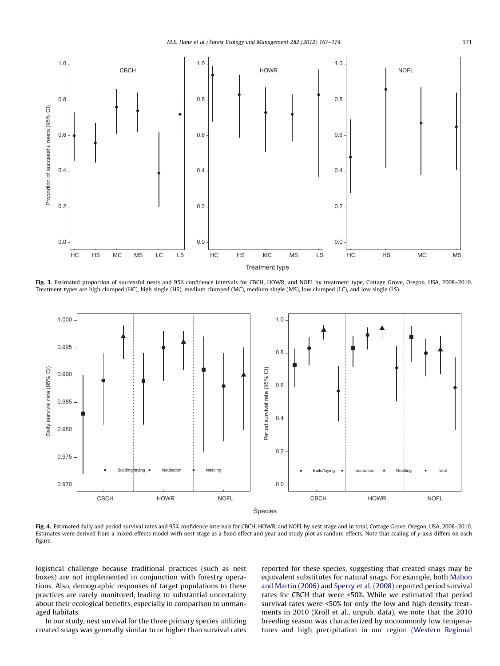<span id="page-4-0"></span>

Fig. 3. Estimated proportion of successful nests and 95% confidence intervals for CBCH, HOWR, and NOFL by treatment type, Cottage Grove, Oregon, USA, 2008-2010. Treatment types are high clumped (HC), high single (HS), medium clumped (MC), medium single (MS), low clumped (LC), and low single (LS).



Fig. 4. Estimated daily and period survival rates and 95% confidence intervals for CBCH, HOWR, and NOFL by nest stage and in total, Cottage Grove, Oregon, USA, 2008-2010. Estimates were derived from a mixed-effects model with nest stage as a fixed effect and year and study plot as random effects. Note that scaling of y-axis differs on each figure.

logistical challenge because traditional practices (such as nest boxes) are not implemented in conjunction with forestry operations. Also, demographic responses of target populations to these practices are rarely monitored, leading to substantial uncertainty about their ecological benefits, especially in comparison to unmanaged habitats.

In our study, nest survival for the three primary species utilizing created snags was generally similar to or higher than survival rates reported for these species, suggesting that created snags may be equivalent substitutes for natural snags. For example, both [Mahon](#page-6-0) [and Martin \(2006\)](#page-6-0) and [Sperry et al. \(2008\)](#page-7-0) reported period survival rates for CBCH that were <50%. While we estimated that period survival rates were <50% for only the low and high density treatments in 2010 (Kroll et al., unpub. data), we note that the 2010 breeding season was characterized by uncommonly low temperatures and high precipitation in our region [\(Western Regional](#page-7-0)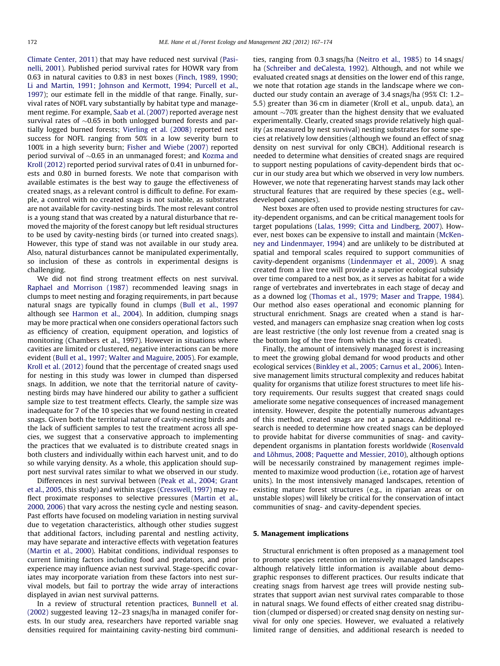[Climate Center, 2011](#page-7-0)) that may have reduced nest survival [\(Pasi](#page-6-0)[nelli, 2001](#page-6-0)). Published period survival rates for HOWR vary from 0.63 in natural cavities to 0.83 in nest boxes [\(Finch, 1989, 1990;](#page-6-0) [Li and Martin, 1991; Johnson and Kermott, 1994; Purcell et al.,](#page-6-0) [1997\)](#page-6-0); our estimate fell in the middle of that range. Finally, survival rates of NOFL vary substantially by habitat type and management regime. For example, [Saab et al. \(2007\)](#page-7-0) reported average nest survival rates of  ${\sim}0.65$  in both unlogged burned forests and partially logged burned forests; [Vierling et al. \(2008\)](#page-7-0) reported nest success for NOFL ranging from 50% in a low severity burn to 100% in a high severity burn; [Fisher and Wiebe \(2007\)](#page-6-0) reported period survival of  ${\sim}0.65$  in an unmanaged forest; and [Kozma and](#page-6-0) [Kroll \(2012\)](#page-6-0) reported period survival rates of 0.41 in unburned forests and 0.80 in burned forests. We note that comparison with available estimates is the best way to gauge the effectiveness of created snags, as a relevant control is difficult to define. For example, a control with no created snags is not suitable, as substrates are not available for cavity-nesting birds. The most relevant control is a young stand that was created by a natural disturbance that removed the majority of the forest canopy but left residual structures to be used by cavity-nesting birds (or turned into created snags). However, this type of stand was not available in our study area. Also, natural disturbances cannot be manipulated experimentally, so inclusion of these as controls in experimental designs is challenging.

We did not find strong treatment effects on nest survival. [Raphael and Morrison \(1987\)](#page-7-0) recommended leaving snags in clumps to meet nesting and foraging requirements, in part because natural snags are typically found in clumps ([Bull et al., 1997](#page-6-0) although see [Harmon et al., 2004\)](#page-6-0). In addition, clumping snags may be more practical when one considers operational factors such as efficiency of creation, equipment operation, and logistics of monitoring (Chambers et al., 1997). However in situations where cavities are limited or clustered, negative interactions can be more evident [\(Bull et al., 1997; Walter and Maguire, 2005](#page-6-0)). For example, Kroll et al. (2012) found that the percentage of created snags used for nesting in this study was lower in clumped than dispersed snags. In addition, we note that the territorial nature of cavitynesting birds may have hindered our ability to gather a sufficient sample size to test treatment effects. Clearly, the sample size was inadequate for 7 of the 10 species that we found nesting in created snags. Given both the territorial nature of cavity-nesting birds and the lack of sufficient samples to test the treatment across all species, we suggest that a conservative approach to implementing the practices that we evaluated is to distribute created snags in both clusters and individually within each harvest unit, and to do so while varying density. As a whole, this application should support nest survival rates similar to what we observed in our study.

Differences in nest survival between ([Peak et al., 2004; Grant](#page-7-0) [et al., 2005](#page-7-0), this study) and within stages ([Cresswell, 1997\)](#page-6-0) may reflect proximate responses to selective pressures [\(Martin et al.,](#page-6-0) [2000, 2006\)](#page-6-0) that vary across the nesting cycle and nesting season. Past efforts have focused on modeling variation in nesting survival due to vegetation characteristics, although other studies suggest that additional factors, including parental and nestling activity, may have separate and interactive effects with vegetation features ([Martin et al., 2000\)](#page-6-0). Habitat conditions, individual responses to current limiting factors including food and predators, and prior experience may influence avian nest survival. Stage-specific covariates may incorporate variation from these factors into nest survival models, but fail to portray the wide array of interactions displayed in avian nest survival patterns.

In a review of structural retention practices, [Bunnell et al.](#page-6-0) [\(2002\)](#page-6-0) suggested leaving 12–23 snags/ha in managed conifer forests. In our study area, researchers have reported variable snag densities required for maintaining cavity-nesting bird communities, ranging from 0.3 snags/ha ([Neitro et al., 1985\)](#page-6-0) to 14 snags/ ha [\(Schreiber and deCalesta, 1992\)](#page-7-0). Although, and not while we evaluated created snags at densities on the lower end of this range, we note that rotation age stands in the landscape where we conducted our study contain an average of 3.4 snags/ha (95% CI: 1.2– 5.5) greater than 36 cm in diameter (Kroll et al., unpub. data), an amount  $\sim$ 70% greater than the highest density that we evaluated experimentally. Clearly, created snags provide relatively high quality (as measured by nest survival) nesting substrates for some species at relatively low densities (although we found an effect of snag density on nest survival for only CBCH). Additional research is needed to determine what densities of created snags are required to support nesting populations of cavity-dependent birds that occur in our study area but which we observed in very low numbers. However, we note that regenerating harvest stands may lack other structural features that are required by these species (e.g., welldeveloped canopies).

Nest boxes are often used to provide nesting structures for cavity-dependent organisms, and can be critical management tools for target populations [\(Lalas, 1999; Citta and Lindberg, 2007](#page-6-0)). However, nest boxes can be expensive to install and maintain [\(McKen](#page-6-0)[ney and Lindenmayer, 1994](#page-6-0)) and are unlikely to be distributed at spatial and temporal scales required to support communities of cavity-dependent organisms [\(Lindenmayer et al., 2009\)](#page-6-0). A snag created from a live tree will provide a superior ecological subsidy over time compared to a nest box, as it serves as habitat for a wide range of vertebrates and invertebrates in each stage of decay and as a downed log ([Thomas et al., 1979; Maser and Trappe, 1984\)](#page-7-0). Our method also eases operational and economic planning for structural enrichment. Snags are created when a stand is harvested, and managers can emphasize snag creation when log costs are least restrictive (the only lost revenue from a created snag is the bottom log of the tree from which the snag is created).

Finally, the amount of intensively managed forest is increasing to meet the growing global demand for wood products and other ecological services [\(Binkley et al., 2005; Carnus et al., 2006\)](#page-6-0). Intensive management limits structural complexity and reduces habitat quality for organisms that utilize forest structures to meet life history requirements. Our results suggest that created snags could ameliorate some negative consequences of increased management intensity. However, despite the potentially numerous advantages of this method, created snags are not a panacea. Additional research is needed to determine how created snags can be deployed to provide habitat for diverse communities of snag- and cavitydependent organisms in plantation forests worldwide [\(Rosenvald](#page-7-0) [and Lõhmus, 2008; Paquette and Messier, 2010](#page-7-0)), although options will be necessarily constrained by management regimes implemented to maximize wood production (i.e., rotation age of harvest units). In the most intensively managed landscapes, retention of existing mature forest structures (e.g., in riparian areas or on unstable slopes) will likely be critical for the conservation of intact communities of snag- and cavity-dependent species.

## 5. Management implications

Structural enrichment is often proposed as a management tool to promote species retention on intensively managed landscapes although relatively little information is available about demographic responses to different practices. Our results indicate that creating snags from harvest age trees will provide nesting substrates that support avian nest survival rates comparable to those in natural snags. We found effects of either created snag distribution (clumped or dispersed) or created snag density on nesting survival for only one species. However, we evaluated a relatively limited range of densities, and additional research is needed to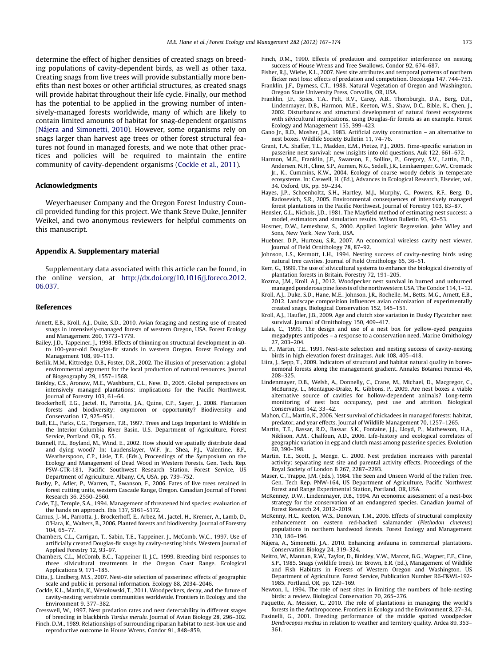<span id="page-6-0"></span>determine the effect of higher densities of created snags on breeding populations of cavity-dependent birds, as well as other taxa. Creating snags from live trees will provide substantially more benefits than nest boxes or other artificial structures, as created snags will provide habitat throughout their life cycle. Finally, our method has the potential to be applied in the growing number of intensively-managed forests worldwide, many of which are likely to contain limited amounts of habitat for snag-dependent organisms (Nájera and Simonetti, 2010). However, some organisms rely on snags larger than harvest age trees or other forest structural features not found in managed forests, and we note that other practices and policies will be required to maintain the entire community of cavity-dependent organisms (Cockle et al., 2011).

#### Acknowledgments

Weyerhaeuser Company and the Oregon Forest Industry Council provided funding for this project. We thank Steve Duke, Jennifer Weikel, and two anonymous reviewers for helpful comments on this manuscript.

#### Appendix A. Supplementary material

Supplementary data associated with this article can be found, in the online version, at [http://dx.doi.org/10.1016/j.foreco.2012.](http://dx.doi.org/10.1016/j.foreco.2012.06.037) [06.037](http://dx.doi.org/10.1016/j.foreco.2012.06.037).

#### References

- Arnett, E.B., Kroll, A.J., Duke, S.D., 2010. Avian foraging and nesting use of created snags in intensively-managed forests of western Oregon, USA. Forest Ecology and Management 260, 1773–1779.
- Bailey, J.D., Tappeiner, J., 1998. Effects of thinning on structural development in 40 to 100-year-old Douglas-fir stands in western Oregon. Forest Ecology and Management 108, 99–113.
- Berlik, M.M., Kittredge, D.B., Foster, D.R., 2002. The illusion of preservation: a global environmental argument for the local production of natural resources. Journal of Biogeography 29, 1557–1568.
- Binkley, C.S., Aronow, M.E., Washburn, C.L., New, D., 2005. Global perspectives on intensively managed plantations: implications for the Pacific Northwest. Journal of Forestry 103, 61–64.
- Brockerhoff, E.G., Jactel, H., Parrotta, J.A., Quine, C.P., Sayer, J., 2008. Plantation forests and biodiversity: oxymoron or opportunity? Biodiversity and Conservation 17, 925–951.
- Bull, E.L., Parks, C.G., Torgersen, T.R., 1997. Trees and Logs Important to Wildlife in the Interior Columbia River Basin. U.S. Department of Agriculture, Forest Service, Portland, OR, p. 55.
- Bunnell, F.L., Boyland, M., Wind, E., 2002. How should we spatially distribute dead and dying wood? In: Laudenslayer, W.F. Jr., Shea, P.J., Valentine, B.F., Weatherspoon, C.P., Lisle, T.E. (Eds.), Proceedings of the Symposium on the Ecology and Management of Dead Wood in Western Forests. Gen. Tech. Rep. PSW-GTR-181, Pacific Southwest Research Station, Forest Service, US Department of Agriculture, Albany, CA, USA, pp. 739–752.
- Busby, P., Adler, P., Warren, T., Swanson, F., 2006. Fates of live trees retained in forest cutting units, western Cascade Range, Oregon. Canadian Journal of Forest Research 36, 2550–2560.
- Cade, T.J., Temple, S.A., 1994. Management of threatened bird species: evaluation of the hands on approach. Ibis 137, S161–S172.
- Carnus, J.-M., Parrotta, J., Brockerhoff, E., Arbez, M., Jactel, H., Kremer, A., Lamb, D., O'Hara, K., Walters, B., 2006. Planted forests and biodiversity. Journal of Forestry 104, 65–77.
- Chambers, C.L., Carrigan, T., Sabin, T.E., Tappeiner, J., McComb, W.C., 1997. Use of artificially created Douglas-fir snags by cavity-nesting birds. Western Journal of Applied Forestry 12, 93–97.
- Chambers, C.L., McComb, B.C., Tappeiner II, J.C., 1999. Breeding bird responses to three silvicultural treatments in the Oregon Coast Range. Ecological Applications 9, 171–185.
- Citta, J., Lindberg, M.S., 2007. Nest-site selection of passerines: effects of geographic scale and public in personal information. Ecology 88, 2034–2046.
- Cockle, K.L., Martin, K., Wesołowski, T., 2011. Woodpeckers, decay, and the future of cavity-nesting vertebrate communities worldwide. Frontiers in Ecology and the Environment 9, 377–382.
- Cresswell, W., 1997. Nest predation rates and nest detectability in different stages of breeding in blackbirds Turdus merula. Journal of Avian Biology 28, 296–302.
- Finch, D.M., 1989. Relationships of surrounding riparian habitat to nest-box use and reproductive outcome in House Wrens. Condor 91, 848–859.
- Finch, D.M., 1990. Effects of predation and competitor interference on nesting success of House Wrens and Tree Swallows. Condor 92, 674–687.
- Fisher, R.J., Wiebe, K.L., 2007. Nest site attributes and temporal patterns of northern flicker nest loss: effects of predation and competition. Oecologia 147, 744–753.
- Franklin, J.F., Dyrness, C.T., 1988. Natural Vegetation of Oregon and Washington. Oregon State University Press, Corvallis, OR, USA.
- Franklin, J.F., Spies, T.A., Pelt, R.V., Carey, A.B., Thornburgh, D.A., Berg, D.R., Lindenmayer, D.B., Harmon, M.E., Keeton, W.S., Shaw, D.C., Bible, K., Chen, J., 2002. Disturbances and structural development of natural forest ecosystems with silvicultural implications, using Douglas-fir forests as an example. Forest Ecology and Management 155, 399–423.
- Gano Jr., R.D., Mosher, J.A., 1983. Artificial cavity construction an alternative to nest boxes. Wildlife Society Bulletin 11, 74–76.
- Grant, T.A., Shaffer, T.L., Madden, E.M., Pietze, P.J., 2005. Time-specific variation in passerine nest survival: new insights into old questions. Auk 122, 661–672.
- Harmon, M.E., Franklin, J.F., Swanson, F., Sollins, P., Gregory, S.V., Lattin, P.D. Andersen, N.H., Cline, S.P., Aumen, N.G., Sedell, J.R., Leinkaemper, G.W., Cromack Jr., K., Cummins, K.W., 2004. Ecology of coarse woody debris in temperate ecosystems. In: Caswell, H. (Ed.), Advances in Ecological Research, Elsevier, vol. 34. Oxford, UK, pp. 59–234.
- Hayes, J.P., Schoenholtz, S.H., Hartley, M.J., Murphy, G., Powers, R.F., Berg, D., Radosevich, S.R., 2005. Environmental consequences of intensively managed forest plantations in the Pacific Northwest. Journal of Forestry 103, 83–87.
- Hensler, G.L., Nichols, J.D., 1981. The Mayfield method of estimating nest success: a model, estimators and simulation results. Wilson Bulletin 93, 42–53.
- Hosmer, D.W., Lemeshow, S., 2000. Applied Logistic Regression. John Wiley and Sons, New York, New York, USA.
- Huebner, D.P., Hurteau, S.R., 2007. An economical wireless cavity nest viewer. Journal of Field Ornithology 78, 87–92.
- Johnson, L.S., Kermott, L.H., 1994. Nesting success of cavity-nesting birds using natural tree cavities. Journal of Field Ornithology 65, 36–51.
- Kerr, G., 1999. The use of silvicultural systems to enhance the biological diversity of plantation forests in Britain. Forestry 72, 191–205.
- Kozma, J.M., Kroll, A.J., 2012. Woodpecker nest survival in burned and unburned managed ponderosa pine forests of the northwestern USA. The Condor 114, 1–12.
- Kroll, A.J., Duke, S.D., Hane, M.E., Johnson, J.R., Rochelle, M., Betts, M.G., Arnett, E.B., 2012. Landscape composition influences avian colonization of experimentally created snags. Biological Conservation 152, 145–151.
- Kroll, A.J., Haufler, J.B., 2009. Age and clutch size variation in Dusky Flycatcher nest survival. Journal of Ornithology 150, 409–417.
- Lalas, C., 1999. The design and use of a nest box for yellow-eyed penguins megadyptes antipodes – a response to a conservation need. Marine Ornithology 27, 203–204.
- Li, P., Martin, T.E., 1991. Nest-site selection and nesting success of cavity-nesting birds in high elevation forest drainages. Auk 108, 405–418.
- Liira, J., Sepp, T., 2009. Indicators of structural and habitat natural quality in boreonemoral forests along the management gradient. Annales Botanici Fennici 46, 208–325.
- Lindenmayer, D.B., Welsh, A., Donnelly, C., Crane, M., Michael, D., Macgregor, C., McBurney, L., Montague-Drake, R., Gibbons, P., 2009. Are nest boxes a viable alternative source of cavities for hollow-dependent animals? Long-term monitoring of nest box occupancy, pest use and attrition. Biological Conservation 142, 33–42.
- Mahon, C.L., Martin, K., 2006. Nest survival of chickadees in managed forests: habitat, predator, and year effects. Journal of Wildlife Management 70, 1257–1265.
- Martin, T.E., Bassar, R.D., Bassar, S.K., Fontaine, J.J., Lloyd, P., Mathewson, H.A., Niklison, A.M., Chalfoun, A.D., 2006. Life-history and ecological correlates of geographic variation in egg and clutch mass among passerine species. Evolution 60, 390–398.
- Martin, T.E., Scott, J., Menge, C., 2000. Nest predation increases with parental activity: separating nest site and parental activity effects. Proceedings of the Royal Society of London B 267, 2287–2293.
- Maser, C., Trappe, J.M. (Eds.), 1984. The Seen and Unseen World of the Fallen Tree. Gen. Tech Rep. PNW-164, US Department of Agriculture, Pacific Northwest Forest and Range Experimental Station, Portland, OR, USA.
- McKenney, D.W., Lindenmayer, D.B., 1994. An economic assessment of a nest-box strategy for the conservation of an endangered species. Canadian Journal of Forest Research 24, 2012–2019.
- McKenny, H.C., Keeton, W.S., Donovan, T.M., 2006. Effects of structural complexity enhancement on eastern red-backed salamander (Plethodon cinereus) populations in northern hardwood forests. Forest Ecology and Management 230, 186–196.
- Nájera, A., Simonetti, J.A., 2010. Enhancing avifauna in commercial plantations. Conservation Biology 24, 319–324.
- Neitro, W., Mannan, R.W., Taylor, D., Binkley, V.W., Marcot, B.G., Wagner, F.F., Cline, S.P., 1985. Snags (wildlife trees). In: Brown, E.R. (Ed.), Management of Wildlife and Fish Habitats in Forests of Western Oregon and Washington. US Department of Agriculture, Forest Service, Publication Number R6-F&WL-192- 1985, Portland, OR, pp. 129–169.
- Newton, I., 1994. The role of nest sites in limiting the numbers of hole-nesting birds: a review. Biological Conservation 70, 265–276.
- Paquette, A., Messier, C., 2010. The role of plantations in managing the world's forests in the Anthropocene. Frontiers in Ecology and the Environment 8, 27–34.
- Pasinelli, G., 2001. Breeding performance of the middle spotted woodpecker Dendrocopos medius in relation to weather and territory quality. Ardea 89, 353– 361.